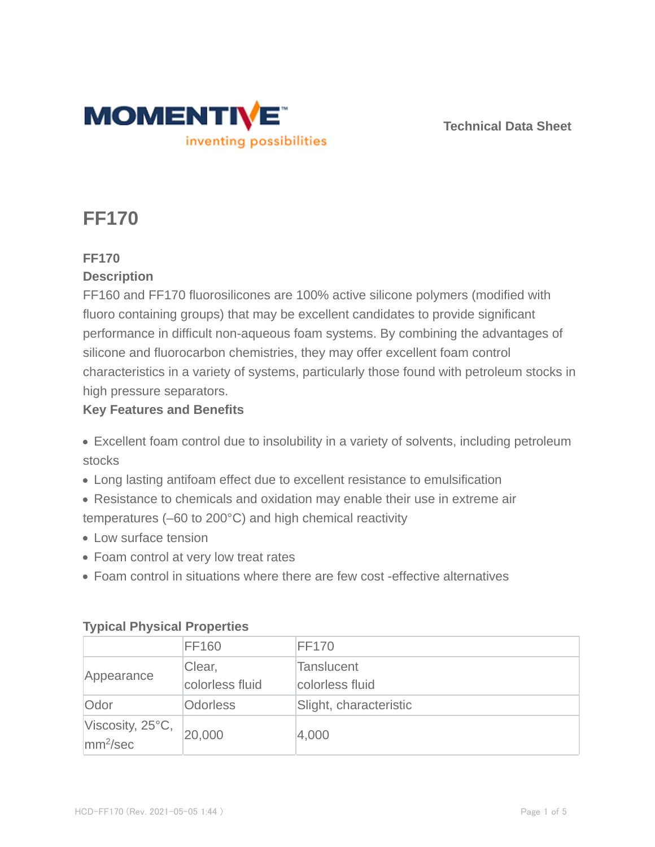

**Technical Data Sheet**

# **FF170**

# **FF170**

# **Description**

FF160 and FF170 fluorosilicones are 100% active silicone polymers (modified with fluoro containing groups) that may be excellent candidates to provide significant performance in difficult non-aqueous foam systems. By combining the advantages of silicone and fluorocarbon chemistries, they may offer excellent foam control characteristics in a variety of systems, particularly those found with petroleum stocks in high pressure separators.

# **Key Features and Benefits**

- Excellent foam control due to insolubility in a variety of solvents, including petroleum stocks
- Long lasting antifoam effect due to excellent resistance to emulsification
- Resistance to chemicals and oxidation may enable their use in extreme air temperatures (–60 to 200°C) and high chemical reactivity
- Low surface tension
- Foam control at very low treat rates
- Foam control in situations where there are few cost -effective alternatives

| $\frac{1}{2}$                                |                           |                                      |  |  |  |
|----------------------------------------------|---------------------------|--------------------------------------|--|--|--|
|                                              | <b>FF160</b>              | <b>FF170</b>                         |  |  |  |
| Appearance                                   | Clear,<br>colorless fluid | <b>Tanslucent</b><br>colorless fluid |  |  |  |
| Odor                                         | <b>Odorless</b>           | Slight, characteristic               |  |  |  |
| Viscosity, 25°C,<br>$\text{mm}^2/\text{sec}$ | 20,000                    | 4,000                                |  |  |  |

# **Typical Physical Properties**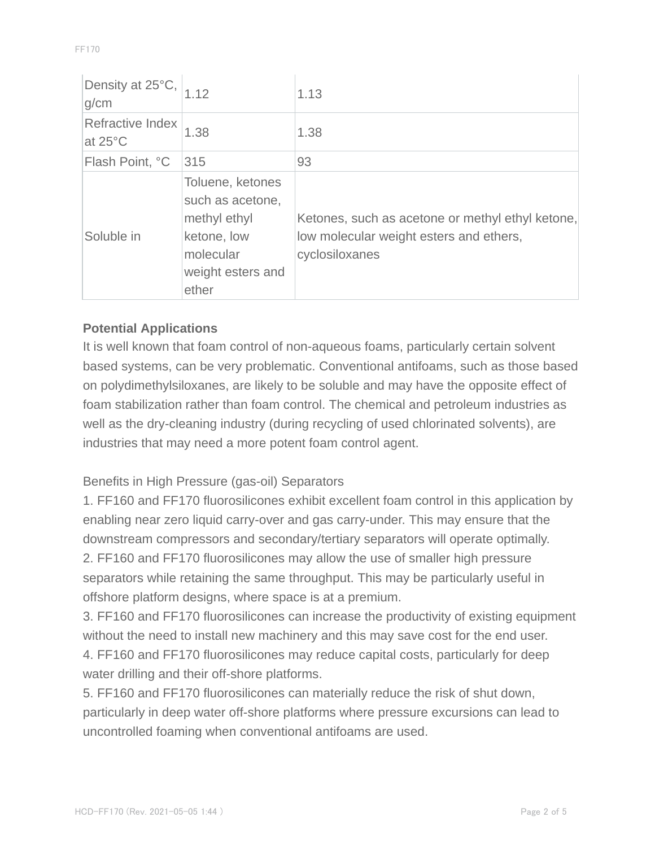| Density at 25°C,<br>g/cm              |                                                                                                                | 1.13                                                                                                          |
|---------------------------------------|----------------------------------------------------------------------------------------------------------------|---------------------------------------------------------------------------------------------------------------|
| Refractive Index<br>at $25^{\circ}$ C | 1.38                                                                                                           | 1.38                                                                                                          |
| Flash Point, °C                       | 315                                                                                                            | 93                                                                                                            |
| Soluble in                            | Toluene, ketones<br>such as acetone,<br>methyl ethyl<br>ketone, low<br>molecular<br>weight esters and<br>ether | Ketones, such as acetone or methyl ethyl ketone,<br>low molecular weight esters and ethers,<br>cyclosiloxanes |

# **Potential Applications**

It is well known that foam control of non-aqueous foams, particularly certain solvent based systems, can be very problematic. Conventional antifoams, such as those based on polydimethylsiloxanes, are likely to be soluble and may have the opposite effect of foam stabilization rather than foam control. The chemical and petroleum industries as well as the dry-cleaning industry (during recycling of used chlorinated solvents), are industries that may need a more potent foam control agent.

#### Benefits in High Pressure (gas-oil) Separators

1. FF160 and FF170 fluorosilicones exhibit excellent foam control in this application by enabling near zero liquid carry-over and gas carry-under. This may ensure that the downstream compressors and secondary/tertiary separators will operate optimally. 2. FF160 and FF170 fluorosilicones may allow the use of smaller high pressure separators while retaining the same throughput. This may be particularly useful in offshore platform designs, where space is at a premium.

3. FF160 and FF170 fluorosilicones can increase the productivity of existing equipment without the need to install new machinery and this may save cost for the end user. 4. FF160 and FF170 fluorosilicones may reduce capital costs, particularly for deep water drilling and their off-shore platforms.

5. FF160 and FF170 fluorosilicones can materially reduce the risk of shut down, particularly in deep water off-shore platforms where pressure excursions can lead to uncontrolled foaming when conventional antifoams are used.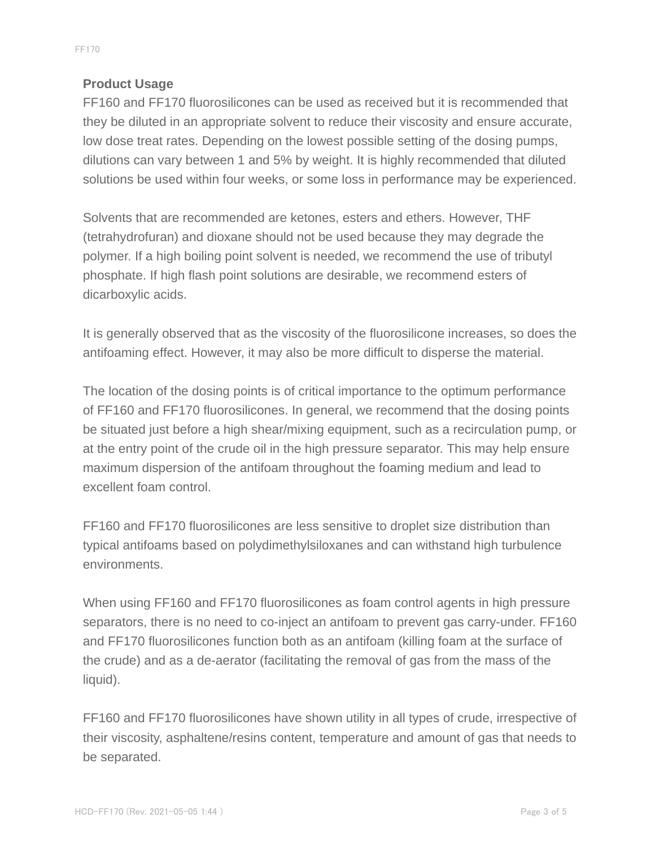# **Product Usage**

FF160 and FF170 fluorosilicones can be used as received but it is recommended that they be diluted in an appropriate solvent to reduce their viscosity and ensure accurate, low dose treat rates. Depending on the lowest possible setting of the dosing pumps, dilutions can vary between 1 and 5% by weight. It is highly recommended that diluted solutions be used within four weeks, or some loss in performance may be experienced.

Solvents that are recommended are ketones, esters and ethers. However, THF (tetrahydrofuran) and dioxane should not be used because they may degrade the polymer. If a high boiling point solvent is needed, we recommend the use of tributyl phosphate. If high flash point solutions are desirable, we recommend esters of dicarboxylic acids.

It is generally observed that as the viscosity of the fluorosilicone increases, so does the antifoaming effect. However, it may also be more difficult to disperse the material.

The location of the dosing points is of critical importance to the optimum performance of FF160 and FF170 fluorosilicones. In general, we recommend that the dosing points be situated just before a high shear/mixing equipment, such as a recirculation pump, or at the entry point of the crude oil in the high pressure separator. This may help ensure maximum dispersion of the antifoam throughout the foaming medium and lead to excellent foam control.

FF160 and FF170 fluorosilicones are less sensitive to droplet size distribution than typical antifoams based on polydimethylsiloxanes and can withstand high turbulence environments.

When using FF160 and FF170 fluorosilicones as foam control agents in high pressure separators, there is no need to co-inject an antifoam to prevent gas carry-under. FF160 and FF170 fluorosilicones function both as an antifoam (killing foam at the surface of the crude) and as a de-aerator (facilitating the removal of gas from the mass of the liquid).

FF160 and FF170 fluorosilicones have shown utility in all types of crude, irrespective of their viscosity, asphaltene/resins content, temperature and amount of gas that needs to be separated.

FF170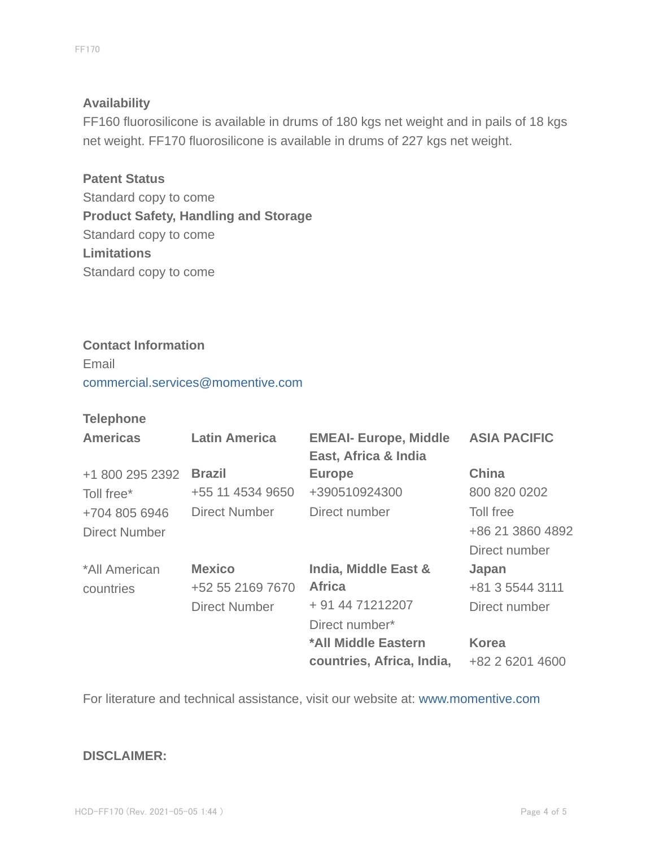#### **Availability**

FF160 fluorosilicone is available in drums of 180 kgs net weight and in pails of 18 kgs net weight. FF170 fluorosilicone is available in drums of 227 kgs net weight.

**Patent Status** Standard copy to come **Product Safety, Handling and Storage** Standard copy to come **Limitations** Standard copy to come

#### **Contact Information**

Email commercial.services@momentive.com

#### **Telephone**

| <b>Americas</b>      | <b>Latin America</b> | <b>EMEAI- Europe, Middle</b><br>East, Africa & India | <b>ASIA PACIFIC</b> |
|----------------------|----------------------|------------------------------------------------------|---------------------|
| +1 800 295 2392      | <b>Brazil</b>        | <b>Europe</b>                                        | <b>China</b>        |
| Toll free*           | +55 11 4534 9650     | +390510924300                                        | 800 820 0202        |
| +704 805 6946        | <b>Direct Number</b> | Direct number                                        | Toll free           |
| <b>Direct Number</b> |                      |                                                      | +86 21 3860 4892    |
|                      |                      |                                                      | Direct number       |
| *All American        | <b>Mexico</b>        | <b>India, Middle East &amp;</b>                      | Japan               |
| countries            | +52 55 2169 7670     | <b>Africa</b>                                        | +81 3 5544 3111     |
|                      | <b>Direct Number</b> | + 91 44 71212207                                     | Direct number       |
|                      |                      | Direct number*                                       |                     |
|                      |                      | *All Middle Eastern                                  | <b>Korea</b>        |
|                      |                      | countries, Africa, India,                            | +82 2 6201 4600     |

For literature and technical assistance, visit our website at: www.momentive.com

#### **DISCLAIMER:**